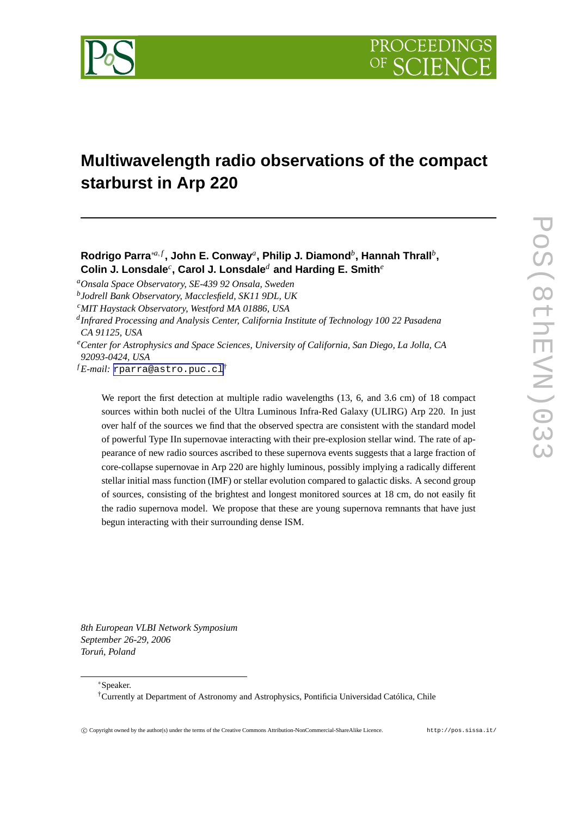

# **Multiwavelength radio observations of the compact starburst in Arp 220**

# **Rodrigo Parra**∗*a*, *<sup>f</sup>* **, John E. Conway***<sup>a</sup>* **, Philip J. Diamond***<sup>b</sup>* **, Hannah Thrall***<sup>b</sup>* **, Colin J. Lonsdale***<sup>c</sup>* **, Carol J. Lonsdale***<sup>d</sup>* **and Harding E. Smith***<sup>e</sup>*

*<sup>a</sup>Onsala Space Observatory, SE-439 92 Onsala, Sweden*

*b Jodrell Bank Observatory, Macclesfield, SK11 9DL, UK*

- *<sup>c</sup>MIT Haystack Observatory, Westford MA 01886, USA*
- *d Infrared Processing and Analysis Center, California Institute of Technology 100 22 Pasadena CA 91125, USA*
- *<sup>e</sup>Center for Astrophysics and Space Sciences, University of California, San Diego, La Jolla, CA 92093-0424, USA*

*<sup>f</sup> E-mail:* [rparra@astro.puc.cl](mailto:rparra@astro.puc.cl)†

We report the first detection at multiple radio wavelengths  $(13, 6,$  and  $3.6$  cm) of 18 compact sources within both nuclei of the Ultra Luminous Infra-Red Galaxy (ULIRG) Arp 220. In just over half of the sources we find that the observed spectra are consistent with the standard model of powerful Type IIn supernovae interacting with their pre-explosion stellar wind. The rate of appearance of new radio sources ascribed to these supernova events suggests that a large fraction of core-collapse supernovae in Arp 220 are highly luminous, possibly implying a radically different stellar initial mass function (IMF) or stellar evolution compared to galactic disks. A second group of sources, consisting of the brightest and longest monitored sources at 18 cm, do not easily fit the radio supernova model. We propose that these are young supernova remnants that have just begun interacting with their surrounding dense ISM.

*8th European VLBI Network Symposium September 26-29, 2006 Toru´n, Poland*

<sup>∗</sup>Speaker.

†Currently at Department of Astronomy and Astrophysics, Pontificia Universidad Católica, Chile

c Copyright owned by the author(s) under the terms of the Creative Commons Attribution-NonCommercial-ShareAlike Licence. http://pos.sissa.it/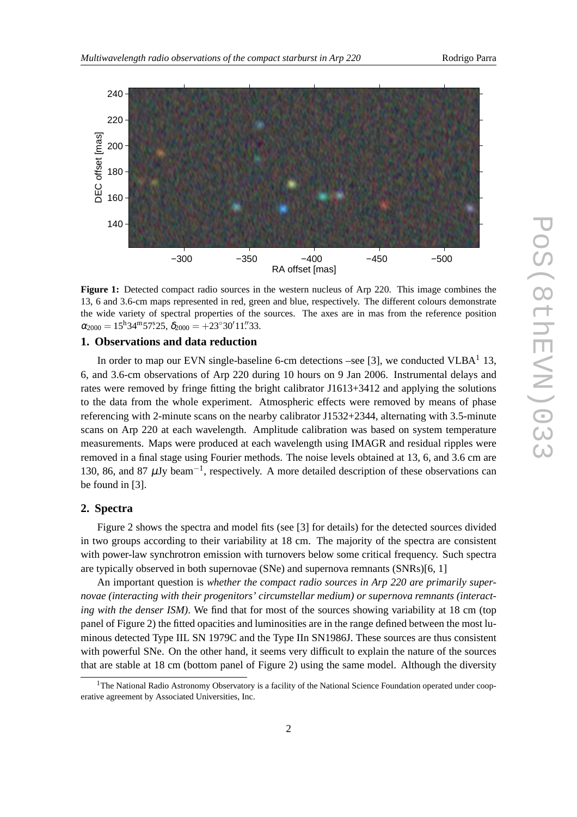

**Figure 1:** Detected compact radio sources in the western nucleus of Arp 220. This image combines the 13, 6 and 3.6-cm maps represented in red, green and blue, respectively. The different colours demonstrate the wide variety of spectral properties of the sources. The axes are in mas from the reference position  $\alpha_{2000} = 15^{\text{h}}34^{\text{m}}57\overset{\text{s}}{.}25, \delta_{2000} = +23^{\circ}30'11\overset{\text{''}}{.}33.$ 

#### **1. Observations and data reduction**

In order to map our EVN single-baseline 6-cm detections –see [3], we conducted VLBA $<sup>1</sup>$  13,</sup> 6, and 3.6-cm observations of Arp 220 during 10 hours on 9 Jan 2006. Instrumental delays and rates were removed by fringe fitting the bright calibrator J1613+3412 and applying the solutions to the data from the whole experiment. Atmospheric effects were removed by means of phase referencing with 2-minute scans on the nearby calibrator J1532+2344, alternating with 3.5-minute scans on Arp 220 at each wavelength. Amplitude calibration was based on system temperature measurements. Maps were produced at each wavelength using IMAGR and residual ripples were removed in a final stage using Fourier methods. The noise levels obtained at 13, 6, and 3.6 cm are 130, 86, and 87  $\mu$ Jy beam<sup>-1</sup>, respectively. A more detailed description of these observations can be found in [3].

#### **2. Spectra**

Figure 2 shows the spectra and model fits (see [3] for details) for the detected sources divided in two groups according to their variability at 18 cm. The majority of the spectra are consistent with power-law synchrotron emission with turnovers below some critical frequency. Such spectra are typically observed in both supernovae (SNe) and supernova remnants (SNRs)[6, 1]

An important question is *whether the compact radio sources in Arp 220 are primarily supernovae (interacting with their progenitors' circumstellar medium) or supernova remnants (interacting with the denser ISM*). We find that for most of the sources showing variability at 18 cm (top panel of Figure 2) the fitted opacities and luminosities are in the range defined between the most luminous detected Type IIL SN 1979C and the Type IIn SN1986J. These sources are thus consistent with powerful SNe. On the other hand, it seems very difficult to explain the nature of the sources that are stable at 18 cm (bottom panel of Figure 2) using the same model. Although the diversity

 $1$ The National Radio Astronomy Observatory is a facility of the National Science Foundation operated under cooperative agreement by Associated Universities, Inc.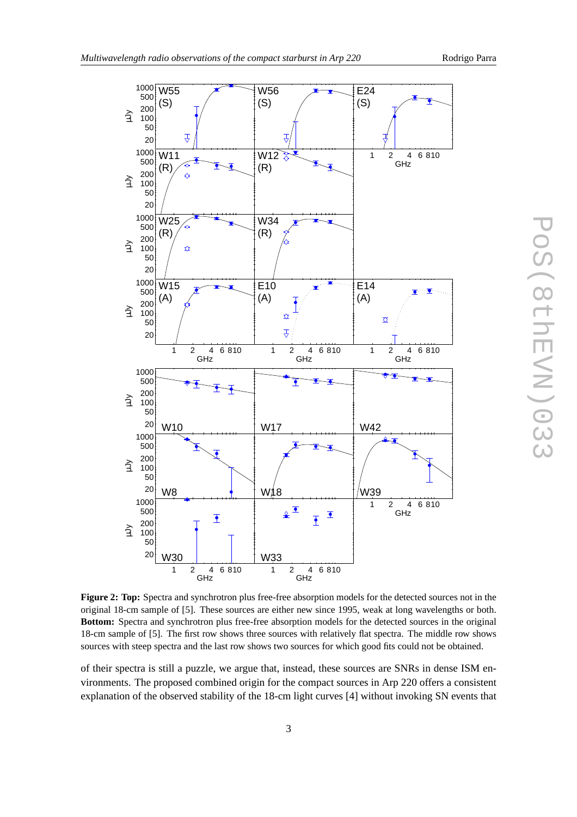

**Figure 2: Top:** Spectra and synchrotron plus free-free absorption models for the detected sources not in the original 18-cm sample of [5]. These sources are either new since 1995, weak at long wavelengths or both. **Bottom:** Spectra and synchrotron plus free-free absorption models for the detected sources in the original 18-cm sample of [5]. The first row shows three sources with relatively flat spectra. The middle row shows sources with steep spectra and the last row shows two sources for which good fits could not be obtained.

of their spectra is still a puzzle, we argue that, instead, these sources are SNRs in dense ISM environments. The proposed combined origin for the compact sources in Arp 220 offers a consistent explanation of the observed stability of the 18-cm light curves [4] without invoking SN events that